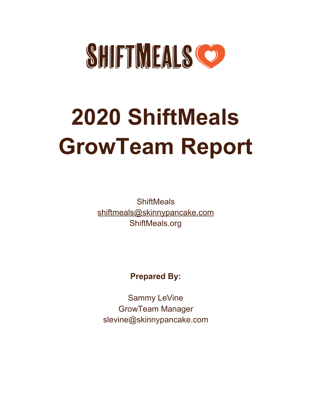

# **2020 ShiftMeals GrowTeam Report**

**ShiftMeals** [shiftmeals@skinnypancake.com](mailto:shiftmeals@skinnypancake.com) ShiftMeals.org

# **Prepared By:**

Sammy LeVine GrowTeam Manager slevine@skinnypancake.com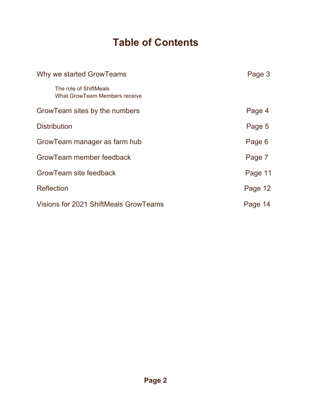# **Table of Contents**

| Why we started GrowTeams                                       | Page 3  |
|----------------------------------------------------------------|---------|
| The role of ShiftMeals<br><b>What GrowTeam Members receive</b> |         |
| GrowTeam sites by the numbers                                  | Page 4  |
| <b>Distribution</b>                                            | Page 5  |
| GrowTeam manager as farm hub                                   | Page 6  |
| GrowTeam member feedback                                       | Page 7  |
| GrowTeam site feedback                                         | Page 11 |
| <b>Reflection</b>                                              | Page 12 |
| Visions for 2021 ShiftMeals GrowTeams                          | Page 14 |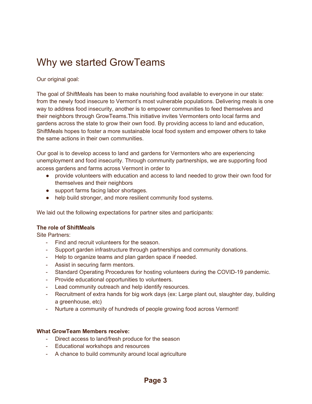# Why we started GrowTeams

Our original goal:

The goal of ShiftMeals has been to make nourishing food available to everyone in our state: from the newly food insecure to Vermont's most vulnerable populations. Delivering meals is one way to address food insecurity, another is to empower communities to feed themselves and their neighbors through GrowTeams.This initiative invites Vermonters onto local farms and gardens across the state to grow their own food. By providing access to land and education, ShiftMeals hopes to foster a more sustainable local food system and empower others to take the same actions in their own communities.

Our goal is to develop access to land and gardens for Vermonters who are experiencing unemployment and food insecurity. Through community partnerships, we are supporting food access gardens and farms across Vermont in order to

- provide volunteers with education and access to land needed to grow their own food for themselves and their neighbors
- support farms facing labor shortages.
- help build stronger, and more resilient community food systems.

We laid out the following expectations for partner sites and participants:

#### **The role of ShiftMeals**

Site Partners:

- Find and recruit volunteers for the season.
- Support garden infrastructure through partnerships and community donations.
- Help to organize teams and plan garden space if needed.
- Assist in securing farm mentors.
- Standard Operating Procedures for hosting volunteers during the COVID-19 pandemic.
- Provide educational opportunities to volunteers.
- Lead community outreach and help identify resources.
- Recruitment of extra hands for big work days (ex: Large plant out, slaughter day, building a greenhouse, etc)
- Nurture a community of hundreds of people growing food across Vermont!

#### **What GrowTeam Members receive:**

- Direct access to land/fresh produce for the season
- Educational workshops and resources
- A chance to build community around local agriculture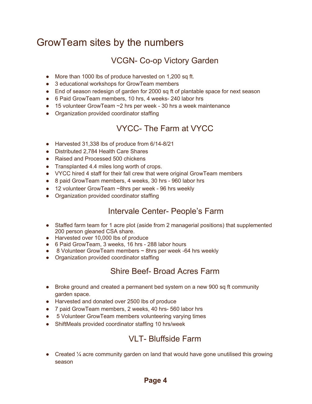# GrowTeam sites by the numbers

# VCGN- Co-op Victory Garden

- More than 1000 lbs of produce harvested on 1,200 sq ft.
- 3 educational workshops for GrowTeam members
- End of season redesign of garden for 2000 sq ft of plantable space for next season
- 6 Paid GrowTeam members, 10 hrs, 4 weeks- 240 labor hrs
- $\bullet$  15 volunteer GrowTeam  $\sim$  2 hrs per week 30 hrs a week maintenance
- Organization provided coordinator staffing

## VYCC- The Farm at VYCC

- Harvested 31,338 lbs of produce from 6/14-8/21
- Distributed 2,784 Health Care Shares
- Raised and Processed 500 chickens
- Transplanted 4.4 miles long worth of crops.
- VYCC hired 4 staff for their fall crew that were original GrowTeam members
- 8 paid GrowTeam members, 4 weeks, 30 hrs 960 labor hrs
- 12 volunteer GrowTeam ~8hrs per week 96 hrs weekly
- Organization provided coordinator staffing

## Intervale Center- People's Farm

- Staffed farm team for 1 acre plot (aside from 2 managerial positions) that supplemented 200 person gleaned CSA share.
- Harvested over 10,000 lbs of produce
- 6 Paid GrowTeam, 3 weeks, 16 hrs 288 labor hours
- $\bullet$  8 Volunteer GrowTeam members  $\sim$  8hrs per week -64 hrs weekly
- Organization provided coordinator staffing

## Shire Beef- Broad Acres Farm

- Broke ground and created a permanent bed system on a new 900 sq ft community garden space.
- Harvested and donated over 2500 lbs of produce
- 7 paid GrowTeam members, 2 weeks, 40 hrs- 560 labor hrs
- 5 Volunteer GrowTeam members volunteering varying times
- ShiftMeals provided coordinator staffing 10 hrs/week

## VI T- Bluffside Farm

• Created  $\frac{1}{4}$  acre community garden on land that would have gone unutilised this growing season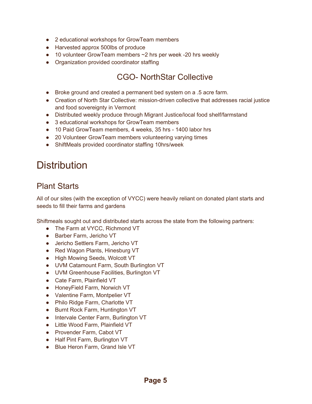- 2 educational workshops for GrowTeam members
- Harvested approx 500lbs of produce
- $\bullet$  10 volunteer GrowTeam members  $\sim$ 2 hrs per week -20 hrs weekly
- Organization provided coordinator staffing

## CGO- NorthStar Collective

- Broke ground and created a permanent bed system on a .5 acre farm.
- Creation of North Star Collective: mission-driven collective that addresses racial justice and food sovereignty in Vermont
- Distributed weekly produce through Migrant Justice/local food shelf/farmstand
- 3 educational workshops for GrowTeam members
- 10 Paid GrowTeam members, 4 weeks, 35 hrs 1400 labor hrs
- 20 Volunteer GrowTeam members volunteering varying times
- ShiftMeals provided coordinator staffing 10hrs/week

# **Distribution**

## Plant Starts

All of our sites (with the exception of VYCC) were heavily reliant on donated plant starts and seeds to fill their farms and gardens

Shiftmeals sought out and distributed starts across the state from the following partners:

- The Farm at VYCC, Richmond VT
- Barber Farm, Jericho VT
- Jericho Settlers Farm, Jericho VT
- Red Wagon Plants, Hinesburg VT
- High Mowing Seeds, Wolcott VT
- UVM Catamount Farm, South Burlington VT
- UVM Greenhouse Facilities, Burlington VT
- Cate Farm, Plainfield VT
- HoneyField Farm, Norwich VT
- Valentine Farm, Montpelier VT
- Philo Ridge Farm, Charlotte VT
- Burnt Rock Farm, Huntington VT
- Intervale Center Farm, Burlington VT
- Little Wood Farm, Plainfield VT
- Provender Farm, Cabot VT
- Half Pint Farm, Burlington VT
- Blue Heron Farm, Grand Isle VT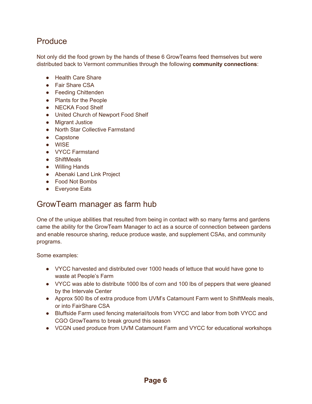## Produce

Not only did the food grown by the hands of these 6 GrowTeams feed themselves but were distributed back to Vermont communities through the following **community connections**:

- Health Care Share
- Fair Share CSA
- Feeding Chittenden
- Plants for the People
- NECKA Food Shelf
- United Church of Newport Food Shelf
- Migrant Justice
- North Star Collective Farmstand
- Capstone
- WISE
- VYCC Farmstand
- ShiftMeals
- Willing Hands
- Abenaki Land Link Project
- Food Not Bombs
- Everyone Eats

## GrowTeam manager as farm hub

One of the unique abilities that resulted from being in contact with so many farms and gardens came the ability for the GrowTeam Manager to act as a source of connection between gardens and enable resource sharing, reduce produce waste, and supplement CSAs, and community programs.

Some examples:

- VYCC harvested and distributed over 1000 heads of lettuce that would have gone to waste at People's Farm
- VYCC was able to distribute 1000 lbs of corn and 100 lbs of peppers that were gleaned by the Intervale Center
- Approx 500 lbs of extra produce from UVM's Catamount Farm went to ShiftMeals meals, or into FairShare CSA
- Bluffside Farm used fencing material/tools from VYCC and labor from both VYCC and CGO GrowTeams to break ground this season
- VCGN used produce from UVM Catamount Farm and VYCC for educational workshops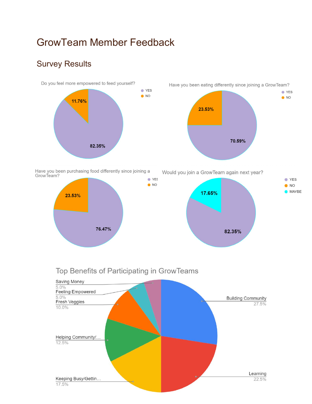# GrowTeam Member Feedback

# Survey Results



Have you been purchasing food differently since joining a GrowTeam?  $\bullet$  YES



Have you been eating differently since joining a GrowTeam?  $\bullet$  YES  $\bullet$  NO 23.53% 70.59%

Would you join a GrowTeam again next year?





 $\bullet$  NO

## Top Benefits of Participating in GrowTeams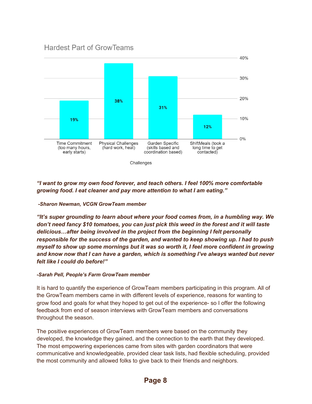#### **Hardest Part of GrowTeams**



#### *"I want to grow my own food forever, and teach others. I feel 100% more comfortable growing food. I eat cleaner and pay more attention to what I am eating."*

#### *-Sharon Newman, VCGN GrowTeam member*

*"It's super grounding to learn about where your food comes from, in a humbling way. We don't need fancy \$10 tomatoes, you can just pick this weed in the forest and it will taste delicious…after being involved in the project from the beginning I felt personally responsible for the success of the garden, and wanted to keep showing up. I had to push myself to show up some mornings but it was so worth it, I feel more confident in growing and know now that I can have a garden, which is something I've always wanted but never felt like I could do before!"*

#### *-Sarah Pell, People's Farm GrowTeam member*

It is hard to quantify the experience of GrowTeam members participating in this program. All of the GrowTeam members came in with different levels of experience, reasons for wanting to grow food and goals for what they hoped to get out of the experience- so I offer the following feedback from end of season interviews with GrowTeam members and conversations throughout the season.

The positive experiences of GrowTeam members were based on the community they developed, the knowledge they gained, and the connection to the earth that they developed. The most empowering experiences came from sites with garden coordinators that were communicative and knowledgeable, provided clear task lists, had flexible scheduling, provided the most community and allowed folks to give back to their friends and neighbors.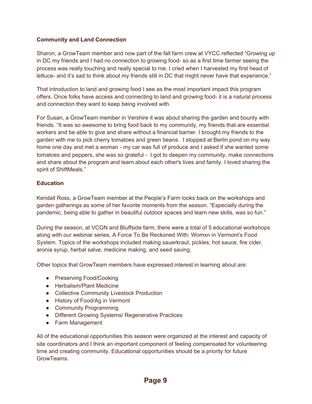#### **Community and Land Connection**

Sharon, a GrowTeam member and now part of the fall farm crew at VYCC reflected "Growing up in DC my friends and I had no connection to growing food- so as a first time farmer seeing the process was really touching and really special to me. I cried when I harvested my first head of lettuce- and it's sad to think about my friends still in DC that might never have that experience."

That introduction to land and growing food I see as the most important impact this program offers. Once folks have access and connecting to land and growing food- it is a natural process and connection they want to keep being involved with.

For Susan, a GrowTeam member in Vershire it was about sharing the garden and bounty with friends. "It was so awesome to bring food back to my community, my friends that are essential workers and be able to give and share without a financial barrier. I brought my friends to the garden with me to pick cherry tomatoes and green beans. I stopped at Berlin pond on my way home one day and met a woman - my car was full of produce and I asked if she wanted some tomatoes and peppers, she was so grateful - I got to deepen my community, make connections and share about the program and learn about each other's lives and family. I loved sharing the spirit of ShiftMeals."

#### **Education**

Kendall Ross, a GrowTeam member at the People's Farm looks back on the workshops and garden gatherings as some of her favorite moments from the season. "Especially during the pandemic, being able to gather in beautiful outdoor spaces and learn new skills, was so fun."

During the season, at VCGN and Bluffside farm, there were a total of 5 educational workshops along with our webinar series, A Force To Be Reckoned With: Womxn in Vermont's Food System. Topics of the workshops included making sauerkraut, pickles, hot sauce, fire cider, aronia syrup, herbal salve, medicine making, and seed saving.

Other topics that GrowTeam members have expressed interest in learning about are:

- Preserving Food/Cooking
- Herbalism/Plant Medicine
- Collective Community Livestock Production
- History of Food/Ag in Vermont
- Community Programming
- Different Growing Systems/ Regenerative Practices
- Farm Management

All of the educational opportunities this season were organized at the interest and capacity of site coordinators and I think an important component of feeling compensated for volunteering time and creating community. Educational opportunities should be a priority for future GrowTeams.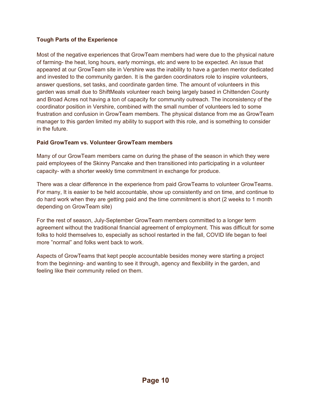#### **Tough Parts of the Experience**

Most of the negative experiences that GrowTeam members had were due to the physical nature of farming- the heat, long hours, early mornings, etc and were to be expected. An issue that appeared at our GrowTeam site in Vershire was the inability to have a garden mentor dedicated and invested to the community garden. It is the garden coordinators role to inspire volunteers, answer questions, set tasks, and coordinate garden time. The amount of volunteers in this garden was small due to ShiftMeals volunteer reach being largely based in Chittenden County and Broad Acres not having a ton of capacity for community outreach. The inconsistency of the coordinator position in Vershire, combined with the small number of volunteers led to some frustration and confusion in GrowTeam members. The physical distance from me as GrowTeam manager to this garden limited my ability to support with this role, and is something to consider in the future.

#### **Paid GrowTeam vs. Volunteer GrowTeam members**

Many of our GrowTeam members came on during the phase of the season in which they were paid employees of the Skinny Pancake and then transitioned into participating in a volunteer capacity- with a shorter weekly time commitment in exchange for produce.

There was a clear difference in the experience from paid GrowTeams to volunteer GrowTeams. For many, It is easier to be held accountable, show up consistently and on time, and continue to do hard work when they are getting paid and the time commitment is short (2 weeks to 1 month depending on GrowTeam site)

For the rest of season, July-September GrowTeam members committed to a longer term agreement without the traditional financial agreement of employment. This was difficult for some folks to hold themselves to, especially as school restarted in the fall, COVID life began to feel more "normal" and folks went back to work.

Aspects of GrowTeams that kept people accountable besides money were starting a project from the beginning- and wanting to see it through, agency and flexibility in the garden, and feeling like their community relied on them.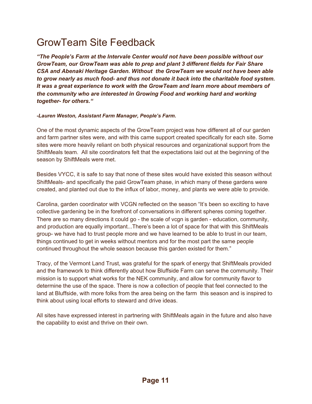# GrowTeam Site Feedback

*"The People's Farm at the Intervale Center would not have been possible without our GrowTeam, our GrowTeam was able to prep and plant 3 different fields for Fair Share CSA and Abenaki Heritage Garden. Without the GrowTeam we would not have been able to grow nearly as much food- and thus not donate it back into the charitable food system. It was a great experience to work with the GrowTeam and learn more about members of the community who are interested in Growing Food and working hard and working together- for others."*

#### *-Lauren Weston, Assistant Farm Manager, People's Farm.*

One of the most dynamic aspects of the GrowTeam project was how different all of our garden and farm partner sites were, and with this came support created specifically for each site. Some sites were more heavily reliant on both physical resources and organizational support from the ShiftMeals team. All site coordinators felt that the expectations laid out at the beginning of the season by ShiftMeals were met.

Besides VYCC, it is safe to say that none of these sites would have existed this season without ShiftMeals- and specifically the paid GrowTeam phase, in which many of these gardens were created, and planted out due to the influx of labor, money, and plants we were able to provide.

Carolina, garden coordinator with VCGN reflected on the season "It's been so exciting to have collective gardening be in the forefront of conversations in different spheres coming together. There are so many directions it could go - the scale of vcgn is garden - education, community, and production are equally important...There's been a lot of space for that with this ShiftMeals group- we have had to trust people more and we have learned to be able to trust in our team, things continued to get in weeks without mentors and for the most part the same people continued throughout the whole season because this garden existed for them."

Tracy, of the Vermont Land Trust, was grateful for the spark of energy that ShiftMeals provided and the framework to think differently about how Bluffside Farm can serve the community. Their mission is to support what works for the NEK community, and allow for community flavor to determine the use of the space. There is now a collection of people that feel connected to the land at Bluffside, with more folks from the area being on the farm this season and is inspired to think about using local efforts to steward and drive ideas.

All sites have expressed interest in partnering with ShiftMeals again in the future and also have the capability to exist and thrive on their own.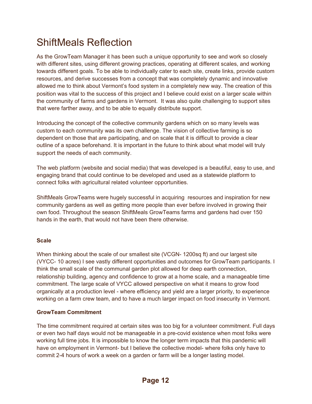# ShiftMeals Reflection

As the GrowTeam Manager it has been such a unique opportunity to see and work so closely with different sites, using different growing practices, operating at different scales, and working towards different goals. To be able to individually cater to each site, create links, provide custom resources, and derive successes from a concept that was completely dynamic and innovative allowed me to think about Vermont's food system in a completely new way. The creation of this position was vital to the success of this project and I believe could exist on a larger scale within the community of farms and gardens in Vermont. It was also quite challenging to support sites that were farther away, and to be able to equally distribute support.

Introducing the concept of the collective community gardens which on so many levels was custom to each community was its own challenge. The vision of collective farming is so dependent on those that are participating, and on scale that it is difficult to provide a clear outline of a space beforehand. It is important in the future to think about what model will truly support the needs of each community.

The web platform (website and social media) that was developed is a beautiful, easy to use, and engaging brand that could continue to be developed and used as a statewide platform to connect folks with agricultural related volunteer opportunities.

ShiftMeals GrowTeams were hugely successful in acquiring resources and inspiration for new community gardens as well as getting more people than ever before involved in growing their own food. Throughout the season ShiftMeals GrowTeams farms and gardens had over 150 hands in the earth, that would not have been there otherwise.

#### **Scale**

When thinking about the scale of our smallest site (VCGN-1200sq ft) and our largest site (VYCC- 10 acres) I see vastly different opportunities and outcomes for GrowTeam participants. I think the small scale of the communal garden plot allowed for deep earth connection, relationship building, agency and confidence to grow at a home scale, and a manageable time commitment. The large scale of VYCC allowed perspective on what it means to grow food organically at a production level - where efficiency and yield are a larger priority, to experience working on a farm crew team, and to have a much larger impact on food insecurity in Vermont.

#### **GrowTeam Commitment**

The time commitment required at certain sites was too big for a volunteer commitment. Full days or even two half days would not be manageable in a pre-covid existence when most folks were working full time jobs. It is impossible to know the longer term impacts that this pandemic will have on employment in Vermont- but I believe the collective model- where folks only have to commit 2-4 hours of work a week on a garden or farm will be a longer lasting model.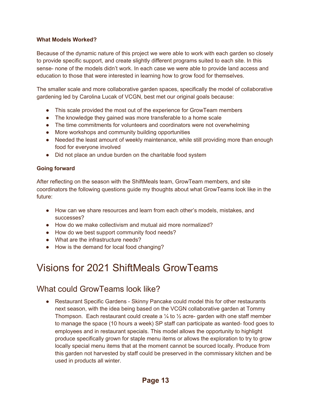#### **What Models Worked?**

Because of the dynamic nature of this project we were able to work with each garden so closely to provide specific support, and create slightly different programs suited to each site. In this sense- none of the models didn't work. In each case we were able to provide land access and education to those that were interested in learning how to grow food for themselves.

The smaller scale and more collaborative garden spaces, specifically the model of collaborative gardening led by Carolina Lucak of VCGN, best met our original goals because:

- This scale provided the most out of the experience for GrowTeam members
- The knowledge they gained was more transferable to a home scale
- The time commitments for volunteers and coordinators were not overwhelming
- More workshops and community building opportunities
- Needed the least amount of weekly maintenance, while still providing more than enough food for everyone involved
- Did not place an undue burden on the charitable food system

#### **Going forward**

After reflecting on the season with the ShiftMeals team, GrowTeam members, and site coordinators the following questions guide my thoughts about what GrowTeams look like in the future:

- How can we share resources and learn from each other's models, mistakes, and successes?
- How do we make collectivism and mutual aid more normalized?
- How do we best support community food needs?
- What are the infrastructure needs?
- How is the demand for local food changing?

# Visions for 2021 ShiftMeals GrowTeams

### What could GrowTeams look like?

• Restaurant Specific Gardens - Skinny Pancake could model this for other restaurants next season, with the idea being based on the VCGN collaborative garden at Tommy Thompson. Each restaurant could create a  $\frac{1}{4}$  to  $\frac{1}{2}$  acre- garden with one staff member to manage the space (10 hours a week) SP staff can participate as wanted- food goes to employees and in restaurant specials. This model allows the opportunity to highlight produce specifically grown for staple menu items or allows the exploration to try to grow locally special menu items that at the moment cannot be sourced locally. Produce from this garden not harvested by staff could be preserved in the commissary kitchen and be used in products all winter.